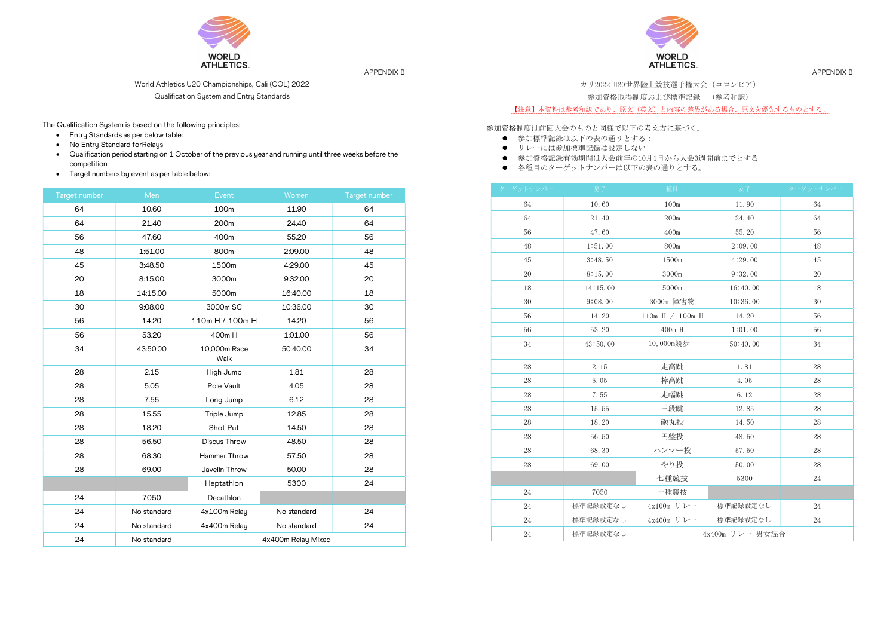

APPENDIX B

World Athletics U20 Championships, Cali (COL) 2022

Qualification System and Entry Standards

The Qualification System is based on the following principles:

- Entry Standards as per below table:
- No Entry Standard for Relays
- Qualification period starting on 1 October of the previous year and running until three weeks before the competition
- **•** Target numbers by event as per table below:

| Target number | Men         | Event                | Women       | Target number |
|---------------|-------------|----------------------|-------------|---------------|
| 64            | 10.60       | 100m                 | 11.90       | 64            |
| 64            | 21.40       | 200m                 | 24.40       | 64            |
| 56            | 47.60       | 400m                 | 55.20       | 56            |
| 48            | 1:51.00     | 800m                 | 2:09.00     | 48            |
| 45            | 3:48.50     | 1500m                | 4:29.00     | 45            |
| 20            | 8:15.00     | 3000m                | 9:32.00     | 20            |
| 18            | 14:15.00    | 5000m                | 16:40.00    | 18            |
| 30            | 9:08.00     | 3000m SC             | 10:36.00    | 30            |
| 56            | 14.20       | 110m H / 100m H      | 14.20       | 56            |
| 56            | 53.20       | 400m H               | 1:01.00     | 56            |
| 34            | 43:50.00    | 10,000m Race<br>Walk | 50:40.00    | 34            |
| 28            | 2.15        | High Jump            | 1.81        | 28            |
| 28            | 5.05        | Pole Vault           | 4.05        | 28            |
| 28            | 7.55        | Long Jump            | 6.12        | 28            |
| 28            | 15.55       | Triple Jump          | 12.85       | 28            |
| 28            | 18.20       | Shot Put             | 14.50       | 28            |
| 28            | 56.50       | Discus Throw         | 48.50       | 28            |
| 28            | 68.30       | Hammer Throw         | 57.50       | 28            |
| 28            | 69.00       | Javelin Throw        | 50.00       | 28            |
|               |             | Heptathlon           | 5300        | 24            |
| 24            | 7050        | Decathlon            |             |               |
| 24            | No standard | 4x100m Relay         | No standard | 24            |
| 24            | No standard | 4x400m Relay         | No standard | 24            |
| 24            | No standard | 4x400m Relay Mixed   |             |               |

WORLD<br>ATHLETICS.

APPENDIX B

カリ2022 U20世界陸上競技選手権大会(コロンビア)

参加資格取得制度および標準記録 (参考和訳)

【注意】本資料は参考和訳であり、原文(英文)と内容の差異がある場合、原文を優先するものとする。

参加資格制度は前回大会のものと同様で以下の考え方に基づく。

- 参加標準記録は以下の表の通りとする:
- リレーには参加標準記録は設定しない
- 参加資格記録有効期間は大会前年の10月1日から大会3週間前までとする
- 各種目のターゲットナンバーは以下の表の通りとする。

| ターゲットナンバー | 男子       | 種目              | 女子       | ターゲットナンバー |
|-----------|----------|-----------------|----------|-----------|
| 64        | 10.60    | 100m            | 11.90    | 64        |
| 64        | 21.40    | 200m            | 24.40    | 64        |
| 56        | 47.60    | 400m            | 55.20    | 56        |
| 48        | 1:51.00  | 800m            | 2:09.00  | 48        |
| 45        | 3:48.50  | 1500m           | 4:29.00  | 45        |
| 20        | 8:15.00  | 3000m           | 9:32.00  | 20        |
| 18        | 14:15.00 | 5000m           | 16:40.00 | 18        |
| 30        | 9:08.00  | 3000m 障害物       | 10:36.00 | 30        |
| 56        | 14.20    | 110m H / 100m H | 14.20    | 56        |
| 56        | 53.20    | $400m$ H        | 1:01.00  | 56        |
| 34        | 43:50.00 | 10,000m競歩       | 50:40.00 | 34        |
| 28        | 2.15     | 走高跳             | 1.81     | 28        |
| 28        | 5.05     | 棒高跳             | 4.05     | 28        |
| 28        | 7.55     | 走幅跳             | 6.12     | 28        |
| 28        | 15.55    | 三段跳             | 12.85    | 28        |
| 28        | 18.20    | 砲丸投             | 14.50    | 28        |
| 28        | 56.50    | 円盤投             | 48.50    | 28        |
| 28        | 68.30    | ハンマー投           | 57.50    | 28        |
| 28        | 69.00    | やり投             | 50.00    | 28        |
|           |          | 七種競技            | 5300     | 24        |
| 24        | 7050     | 十種競技            |          |           |
| 24        | 標準記録設定なし | 4x100m リレー      | 標準記録設定なし | 24        |
| 24        | 標準記録設定なし | 4x400m リレー      | 標準記録設定なし | 24        |
| 24        | 標準記録設定なし | 4x400m リレー 男女混合 |          |           |